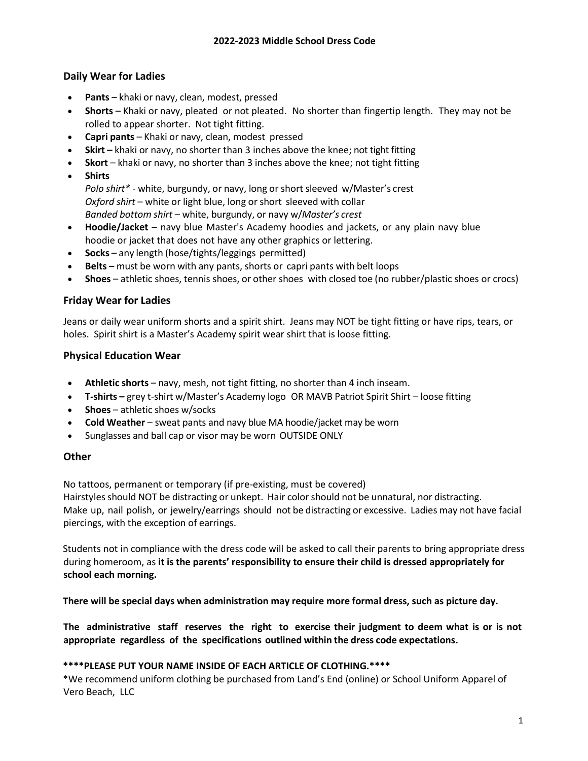## **Daily Wear for Ladies**

- Pants khaki or navy, clean, modest, pressed
- **Shorts** Khaki or navy, pleated or not pleated. No shorter than fingertip length. They may not be rolled to appear shorter. Not tight fitting.
- **Capri pants** Khaki or navy, clean, modest pressed
- **Skirt –** khaki or navy, no shorter than 3 inches above the knee; not tight fitting
- **Skort** khaki or navy, no shorter than 3 inches above the knee; not tight fitting
- **Shirts**

*Polo shirt\** - white, burgundy, or navy, long or short sleeved w/Master's crest *Oxford shirt* – white or light blue, long or short sleeved with collar *Banded bottom shirt* – white, burgundy, or navy w/*Master's crest*

- **Hoodie/Jacket** navy blue Master's Academy hoodies and jackets, or any plain navy blue hoodie or jacket that does not have any other graphics or lettering.
- **Socks** any length (hose/tights/leggings permitted)
- **Belts** must be worn with any pants, shorts or capri pants with belt loops
- **Shoes** athletic shoes, tennis shoes, or other shoes with closed toe (no rubber/plastic shoes or crocs)

## **Friday Wear for Ladies**

Jeans or daily wear uniform shorts and a spirit shirt. Jeans may NOT be tight fitting or have rips, tears, or holes. Spirit shirt is a Master's Academy spirit wear shirt that is loose fitting.

#### **Physical Education Wear**

- **Athletic shorts** navy, mesh, not tight fitting, no shorter than 4 inch inseam.
- **T-shirts –** grey t-shirt w/Master's Academy logo OR MAVB Patriot Spirit Shirt loose fitting
- **Shoes** athletic shoes w/socks
- **Cold Weather** sweat pants and navy blue MA hoodie/jacket may be worn
- Sunglasses and ball cap or visor may be worn OUTSIDE ONLY

## **Other**

No tattoos, permanent or temporary (if pre-existing, must be covered)

Hairstylesshould NOT be distracting or unkept. Hair colorshould not be unnatural, nor distracting. Make up, nail polish, or jewelry/earrings should not be distracting or excessive. Ladies may not have facial piercings, with the exception of earrings.

Students not in compliance with the dress code will be asked to call their parents to bring appropriate dress during homeroom, as **it is the parents' responsibility to ensure their child is dressed appropriately for school each morning.**

**There will be special days when administration may require more formal dress, such as picture day.**

**The administrative staff reserves the right to exercise their judgment to deem what is or is not appropriate regardless of the specifications outlined within the dress code expectations.**

#### **\*\*\*\*PLEASE PUT YOUR NAME INSIDE OF EACH ARTICLE OF CLOTHING.\*\*\*\***

\*We recommend uniform clothing be purchased from Land's End (online) or School Uniform Apparel of Vero Beach, LLC